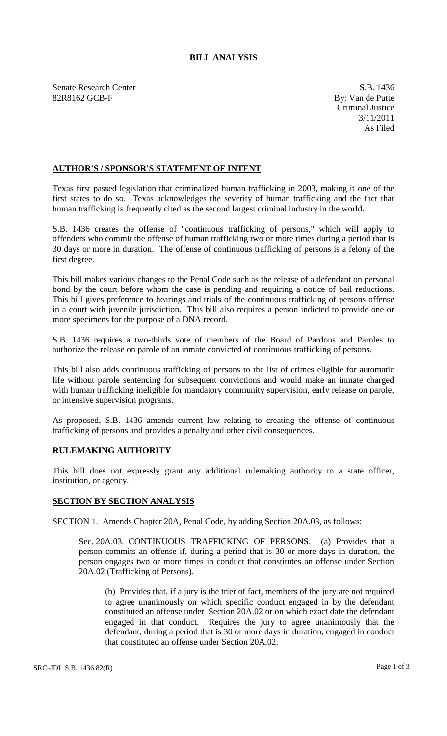## **BILL ANALYSIS**

Senate Research Center S.B. 1436 82R8162 GCB-F By: Van de Putte

Criminal Justice 3/11/2011 As Filed

## **AUTHOR'S / SPONSOR'S STATEMENT OF INTENT**

Texas first passed legislation that criminalized human trafficking in 2003, making it one of the first states to do so. Texas acknowledges the severity of human trafficking and the fact that human trafficking is frequently cited as the second largest criminal industry in the world.

S.B. 1436 creates the offense of "continuous trafficking of persons," which will apply to offenders who commit the offense of human trafficking two or more times during a period that is 30 days or more in duration. The offense of continuous trafficking of persons is a felony of the first degree.

This bill makes various changes to the Penal Code such as the release of a defendant on personal bond by the court before whom the case is pending and requiring a notice of bail reductions. This bill gives preference to hearings and trials of the continuous trafficking of persons offense in a court with juvenile jurisdiction. This bill also requires a person indicted to provide one or more specimens for the purpose of a DNA record.

S.B. 1436 requires a two-thirds vote of members of the Board of Pardons and Paroles to authorize the release on parole of an inmate convicted of continuous trafficking of persons.

This bill also adds continuous trafficking of persons to the list of crimes eligible for automatic life without parole sentencing for subsequent convictions and would make an inmate charged with human trafficking ineligible for mandatory community supervision, early release on parole, or intensive supervision programs.

As proposed, S.B. 1436 amends current law relating to creating the offense of continuous trafficking of persons and provides a penalty and other civil consequences.

## **RULEMAKING AUTHORITY**

This bill does not expressly grant any additional rulemaking authority to a state officer, institution, or agency.

## **SECTION BY SECTION ANALYSIS**

SECTION 1. Amends Chapter 20A, Penal Code, by adding Section 20A.03, as follows:

Sec. 20A.03. CONTINUOUS TRAFFICKING OF PERSONS. (a) Provides that a person commits an offense if, during a period that is 30 or more days in duration, the person engages two or more times in conduct that constitutes an offense under Section 20A.02 (Trafficking of Persons).

(b) Provides that, if a jury is the trier of fact, members of the jury are not required to agree unanimously on which specific conduct engaged in by the defendant constituted an offense under Section 20A.02 or on which exact date the defendant engaged in that conduct. Requires the jury to agree unanimously that the defendant, during a period that is 30 or more days in duration, engaged in conduct that constituted an offense under Section 20A.02.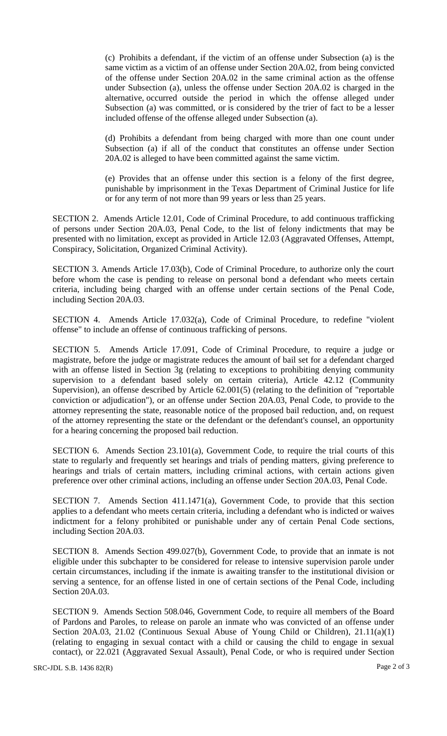(c) Prohibits a defendant, if the victim of an offense under Subsection (a) is the same victim as a victim of an offense under Section 20A.02, from being convicted of the offense under Section 20A.02 in the same criminal action as the offense under Subsection (a), unless the offense under Section 20A.02 is charged in the alternative, occurred outside the period in which the offense alleged under Subsection (a) was committed, or is considered by the trier of fact to be a lesser included offense of the offense alleged under Subsection (a).

(d) Prohibits a defendant from being charged with more than one count under Subsection (a) if all of the conduct that constitutes an offense under Section 20A.02 is alleged to have been committed against the same victim.

(e) Provides that an offense under this section is a felony of the first degree, punishable by imprisonment in the Texas Department of Criminal Justice for life or for any term of not more than 99 years or less than 25 years.

SECTION 2. Amends Article 12.01, Code of Criminal Procedure, to add continuous trafficking of persons under Section 20A.03, Penal Code, to the list of felony indictments that may be presented with no limitation, except as provided in Article 12.03 (Aggravated Offenses, Attempt, Conspiracy, Solicitation, Organized Criminal Activity).

SECTION 3. Amends Article 17.03(b), Code of Criminal Procedure, to authorize only the court before whom the case is pending to release on personal bond a defendant who meets certain criteria, including being charged with an offense under certain sections of the Penal Code, including Section 20A.03.

SECTION 4. Amends Article 17.032(a), Code of Criminal Procedure, to redefine "violent offense" to include an offense of continuous trafficking of persons.

SECTION 5. Amends Article 17.091, Code of Criminal Procedure, to require a judge or magistrate, before the judge or magistrate reduces the amount of bail set for a defendant charged with an offense listed in Section 3g (relating to exceptions to prohibiting denying community supervision to a defendant based solely on certain criteria), Article 42.12 (Community Supervision), an offense described by Article 62.001(5) (relating to the definition of "reportable conviction or adjudication"), or an offense under Section 20A.03, Penal Code, to provide to the attorney representing the state, reasonable notice of the proposed bail reduction, and, on request of the attorney representing the state or the defendant or the defendant's counsel, an opportunity for a hearing concerning the proposed bail reduction.

SECTION 6. Amends Section 23.101(a), Government Code, to require the trial courts of this state to regularly and frequently set hearings and trials of pending matters, giving preference to hearings and trials of certain matters, including criminal actions, with certain actions given preference over other criminal actions, including an offense under Section 20A.03, Penal Code.

SECTION 7. Amends Section 411.1471(a), Government Code, to provide that this section applies to a defendant who meets certain criteria, including a defendant who is indicted or waives indictment for a felony prohibited or punishable under any of certain Penal Code sections, including Section 20A.03.

SECTION 8. Amends Section 499.027(b), Government Code, to provide that an inmate is not eligible under this subchapter to be considered for release to intensive supervision parole under certain circumstances, including if the inmate is awaiting transfer to the institutional division or serving a sentence, for an offense listed in one of certain sections of the Penal Code, including Section 20A.03.

SECTION 9. Amends Section 508.046, Government Code, to require all members of the Board of Pardons and Paroles, to release on parole an inmate who was convicted of an offense under Section 20A.03, 21.02 (Continuous Sexual Abuse of Young Child or Children), 21.11(a)(1) (relating to engaging in sexual contact with a child or causing the child to engage in sexual contact), or 22.021 (Aggravated Sexual Assault), Penal Code, or who is required under Section